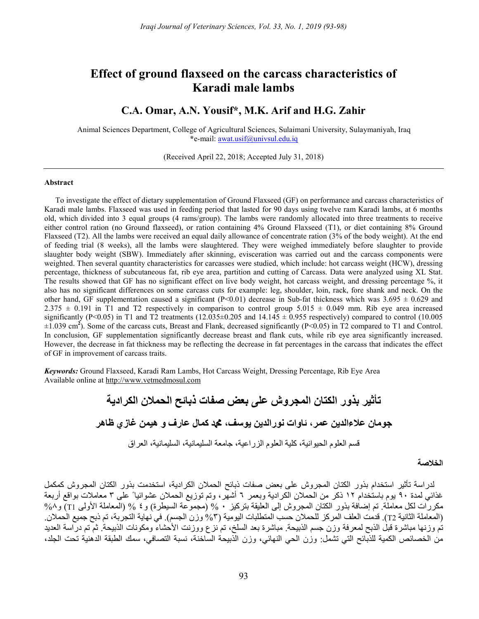# Effect of ground flaxseed on the carcass characteristics of Karadi male lambs

## C.A. Omar, A.N. Yousif\*, M.K. Arif and H.G. Zahir

Animal Sciences Department, College of Agricultural Sciences, Sulaimani University, Sulaymaniyah, Iraq \*e-mail: awat.usif@univsul.edu.iq

(Received April 22, 2018; Accepted July 31, 2018)

#### Abstract

To investigate the effect of dietary supplementation of Ground Flaxseed (GF) on performance and carcass characteristics of Karadi male lambs. Flaxseed was used in feeding period that lasted for 90 days using twelve ram Karadi lambs, at 6 months old, which divided into 3 equal groups (4 rams/group). The lambs were randomly allocated into three treatments to receive either control ration (no Ground flaxseed), or ration containing 4% Ground Flaxseed (T1), or diet containing 8% Ground Flaxseed (T2). All the lambs were received an equal daily allowance of concentrate ration (3% of the body weight). At the end of feeding trial (8 weeks), all the lambs were slaughtered. They were weighed immediately before slaughter to provide slaughter body weight (SBW). Immediately after skinning, evisceration was carried out and the carcass components were weighted. Then several quantity characteristics for carcasses were studied, which include: hot carcass weight (HCW), dressing percentage, thickness of subcutaneous fat, rib eye area, partition and cutting of Carcass. Data were analyzed using XL Stat. The results showed that GF has no significant effect on live body weight, hot carcass weight, and dressing percentage %, it also has no significant differences on some carcass cuts for example: leg, shoulder, loin, rack, fore shank and neck. On the other hand, GF supplementation caused a significant (P<0.01) decrease in Sub-fat thickness which was  $3.695 \pm 0.629$  and 2.375  $\pm$  0.191 in T1 and T2 respectively in comparison to control group 5.015  $\pm$  0.049 mm. Rib eye area increased significantly (P<0.05) in T1 and T2 treatments (12.035 $\pm$ 0.205 and 14.145  $\pm$  0.955 respectively) compared to control (10.005  $\pm 1.039$  cm<sup>2</sup>). Some of the carcass cuts, Breast and Flank, decreased significantly (P<0.05) in T2 compared to T1 and Control. In conclusion, GF supplementation significantly decrease breast and flank cuts, while rib eye area significantly increased. However, the decrease in fat thickness may be reflecting the decrease in fat percentages in the carcass that indicates the effect of GF in improvement of carcass traits.

Keywords: Ground Flaxseed, Karadi Ram Lambs, Hot Carcass Weight, Dressing Percentage, Rib Eye Area Available online at http://www.vetmedmosul.com

تأثير بذور الكتان المجروش على بعض صفات ذبائح الحملان الكرادية جومان علاءالدين عمر، ئاوات نورالدين يوسف، محمد كمال عارف و هيمن غازي ظاهر قسم العلوم الحيوانية، كلية العلوم الزراعية، جامعة السليمانية، السليمانية، العراق

#### الخلاصة

لدراسة تأثير استخدام بذور الكتان المجروش على بعض صفات ذبائح الحملان الكرادية، استخدمت بذور الكتان المجروش كمكمل غذائي لمدة ٩٠ يوم باستخدام ١٢ ذكر من الحملان الكرادية وبعمر ٦ أشهر، وتم توزيع الحملان عشوائيا ً على ٣ معاملات بواقع أربعة مكررات لكل معاملة. تم إضافة بذور الكتان المجروش إلى العليقة بتركيز ٠ % (مجموعة السيطرة) و٤ % (المعاملة الأولى 1T (و%٨ (المعاملة الثانية 2T(. قدمت العلف المركز للحملان حسب المتطلبات اليومية (%٣ وزن الجسم). في نهاية التجربة، تم ذبح جميع الحملان. تم وزنها مباشرة قبل الذبح لمعرفة وزن جسم الذبيحة. مباشرة بعد السلخ، تم نزع ووزنت الأحشاء ومكونات الذبيحة. ثم تم دراسة العديد من الخصائص الكمية للذبائح التي تشمل: وزن الحي النهائي، وزن الذبيحة الساخنة، نسبة التصافي، سمك الطبقة الدهنية تحت الجلد،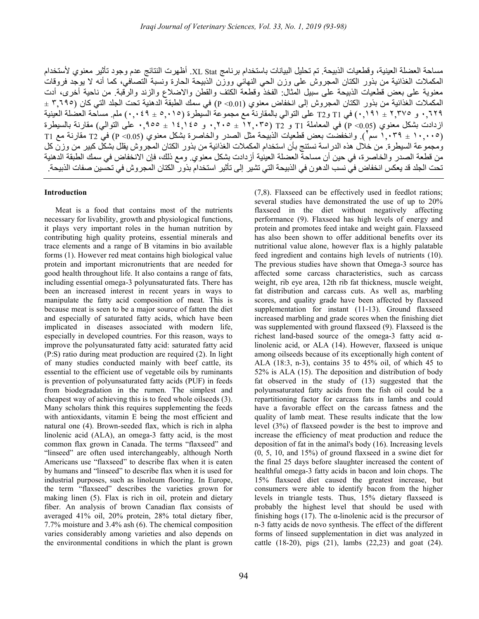مساحة العضلة العينية، وقطعيات الذبيحة. تم تحليل البيانات باستخدام برنامج Stat XL. أظهرت النتائج عدم وجود تأثير معنوي لأستخدام المكملات الغذائية من بذور الكتان المجروش على وزن الحي النهائي ووزن الذبيحة الحارة ونسبة التصافي، كما أنه لا يوجد فروقات معنوية على بعض قطعيات الذبيحة على سبيل المثال: الفخذ وقطعة الكتف والقطن والاضلاع والزند والرقبة. من ناحية أخرى، أدت المكملات الغذائية من بذور الكتان المجروش إلى انخفاض معنوي (0.01> P (في سمك الطبقة الدهنية تحت الجلد التي كان (٣,٦٩٥ ± ٠,٦٢٩ و ٢,٣٧٥ ± ٠,١٩١) في 1T و2T على التوالي بالمقارنة مع مجموعة السيطرة (٥,٠١٥ ± ٠,٠٤٩) ملم. مساحة العضلة العينية ازدادت بشكل معنوي (0.05> P (في المعاملة 1T و 2T) ١٢,٠٣٥ ± ٠,٢٠٥ و ١٤,١٤٥ ± ٠,٩٥٥ على التوالي) مقارنة بالسيطرة (١٠,٠٠٥ ± ١,٠٣٩ سم ). وانخفضت بعض قطعيات الذبيحة مثل الصدر والخاصرة بشكل معنوي (0.05> P (في 2T مقارنة مع 1T <sup>٢</sup> ومجموعة السيطرة. من خلال هذه الدراسة نستنج بأن استخدام المكملات الغذائية من بذور الكتان المجروش يقلل بشكل كبير من وزن كل من قطعة الصدر والخاصرة، في حين أن مساحة العضلة العينية أزدادت بشكل معنوي. ومع ذلك، فإن الانخفاض في سمك الطبقة الدهنية تحت الجلد قد يعكس انخفاض في نسب الدهون في الذبيحة التي تشير إلى تأثير استخدام بذور الكتان المجروش في تحسين صفات الذبيحة.

### Introduction

Meat is a food that contains most of the nutrients necessary for livability, growth and physiological functions, it plays very important roles in the human nutrition by contributing high quality proteins, essential minerals and trace elements and a range of B vitamins in bio available forms (1). However red meat contains high biological value protein and important micronutrients that are needed for good health throughout life. It also contains a range of fats, including essential omega-3 polyunsaturated fats. There has been an increased interest in recent years in ways to manipulate the fatty acid composition of meat. This is because meat is seen to be a major source of fatten the diet and especially of saturated fatty acids, which have been implicated in diseases associated with modern life, especially in developed countries. For this reason, ways to improve the polyunsaturated fatty acid: saturated fatty acid (P:S) ratio during meat production are required (2). In light of many studies conducted mainly with beef cattle, its essential to the efficient use of vegetable oils by ruminants is prevention of polyunsaturated fatty acids (PUF) in feeds from biodegradation in the rumen. The simplest and cheapest way of achieving this is to feed whole oilseeds (3). Many scholars think this requires supplementing the feeds with antioxidants, vitamin E being the most efficient and natural one (4). Brown-seeded flax, which is rich in alpha linolenic acid (ALA), an omega-3 fatty acid, is the most common flax grown in Canada. The terms "flaxseed" and "linseed" are often used interchangeably, although North Americans use "flaxseed" to describe flax when it is eaten by humans and "linseed" to describe flax when it is used for industrial purposes, such as linoleum flooring. In Europe, the term "flaxseed" describes the varieties grown for making linen (5). Flax is rich in oil, protein and dietary fiber. An analysis of brown Canadian flax consists of averaged 41% oil, 20% protein, 28% total dietary fiber, 7.7% moisture and 3.4% ash (6). The chemical composition varies considerably among varieties and also depends on the environmental conditions in which the plant is grown

several studies have demonstrated the use of up to 20% flaxseed in the diet without negatively affecting performance (9). Flaxseed has high levels of energy and protein and promotes feed intake and weight gain. Flaxseed has also been shown to offer additional benefits over its nutritional value alone, however flax is a highly palatable feed ingredient and contains high levels of nutrients (10). The previous studies have shown that Omega-3 source has affected some carcass characteristics, such as carcass weight, rib eye area, 12th rib fat thickness, muscle weight, fat distribution and carcass cuts. As well as, marbling scores, and quality grade have been affected by flaxseed supplementation for instant (11-13). Ground flaxseed increased marbling and grade scores when the finishing diet was supplemented with ground flaxseed (9). Flaxseed is the richest land-based source of the omega-3 fatty acid  $\alpha$ linolenic acid, or ALA (14). However, flaxseed is unique among oilseeds because of its exceptionally high content of ALA (18:3, n-3), contains 35 to 45% oil, of which 45 to 52% is ALA (15). The deposition and distribution of body fat observed in the study of (13) suggested that the polyunsaturated fatty acids from the fish oil could be a repartitioning factor for carcass fats in lambs and could have a favorable effect on the carcass fatness and the quality of lamb meat. These results indicate that the low level (3%) of flaxseed powder is the best to improve and increase the efficiency of meat production and reduce the deposition of fat in the animal's body (16). Increasing levels (0, 5, 10, and 15%) of ground flaxseed in a swine diet for the final 25 days before slaughter increased the content of healthful omega-3 fatty acids in bacon and loin chops. The 15% flaxseed diet caused the greatest increase, but consumers were able to identify bacon from the higher levels in triangle tests. Thus, 15% dietary flaxseed is probably the highest level that should be used with finishing hogs  $(17)$ . The  $\alpha$ -linolenic acid is the precursor of n-3 fatty acids de novo synthesis. The effect of the different forms of linseed supplementation in diet was analyzed in cattle (18-20), pigs (21), lambs (22,23) and goat (24).

(7,8). Flaxseed can be effectively used in feedlot rations;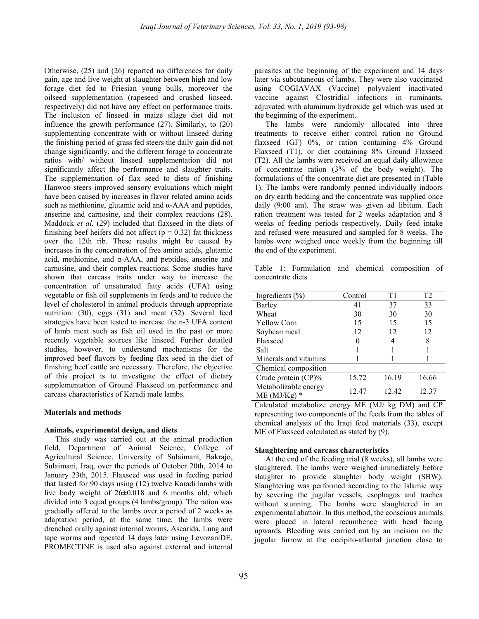Otherwise, (25) and (26) reported no differences for daily gain, age and live weight at slaughter between high and low forage diet fed to Friesian young bulls, moreover the oilseed supplementation (rapeseed and crushed linseed, respectively) did not have any effect on performance traits. The inclusion of linseed in maize silage diet did not influence the growth performance (27). Similarly, to (20) supplementing concentrate with or without linseed during the finishing period of grass fed steers the daily gain did not change significantly, and the different forage to concentrate ratios with/ without linseed supplementation did not significantly affect the performance and slaughter traits. The supplementation of flax seed to diets of finishing Hanwoo steers improved sensory evaluations which might have been caused by increases in flavor related amino acids such as methionine, glutamic acid and α-AAA and peptides, anserine and carnosine, and their complex reactions (28). Maddock et al. (29) included that flaxseed in the diets of finishing beef heifers did not affect ( $p = 0.32$ ) fat thickness over the 12th rib. These results might be caused by increases in the concentration of free amino acids, glutamic acid, methionine, and  $\alpha$ -AAA, and peptides, anserine and carnosine, and their complex reactions. Some studies have shown that carcass traits under way to increase the concentration of unsaturated fatty acids (UFA) using vegetable or fish oil supplements in feeds and to reduce the level of cholesterol in animal products through appropriate nutrition: (30), eggs (31) and meat (32). Several feed strategies have been tested to increase the n-3 UFA content of lamb meat such as fish oil used in the past or more recently vegetable sources like linseed. Further detailed studies, however, to understand mechanisms for the improved beef flavors by feeding flax seed in the diet of finishing beef cattle are necessary. Therefore, the objective of this project is to investigate the effect of dietary supplementation of Ground Flaxseed on performance and carcass characteristics of Karadi male lambs.

#### Materials and methods

#### Animals, experimental design, and diets

This study was carried out at the animal production field, Department of Animal Science, College of Agricultural Science, University of Sulaimani, Bakrajo, Sulaimani, Iraq, over the periods of October 20th, 2014 to January 23th, 2015. Flaxseed was used in feeding period that lasted for 90 days using (12) twelve Karadi lambs with live body weight of 26±0.018 and 6 months old, which divided into 3 equal groups (4 lambs/group). The ration was gradually offered to the lambs over a period of 2 weeks as adaptation period, at the same time, the lambs were drenched orally against internal worms, Ascarida, Lung and tape worms and repeated 14 days later using LevozaniDE. PROMECTINE is used also against external and internal parasites at the beginning of the experiment and 14 days later via subcutaneous of lambs. They were also vaccinated using COGIAVAX (Vaccine) polyvalent inactivated vaccine against Clostridial infections in ruminants, adjuvated with aluminum hydroxide gel which was used at the beginning of the experiment.

The lambs were randomly allocated into three treatments to receive either control ration no Ground flaxseed (GF) 0%, or ration containing 4% Ground Flaxseed (T1), or diet containing 8% Ground Flaxseed (T2). All the lambs were received an equal daily allowance of concentrate ration (3% of the body weight). The formulations of the concentrate diet are presented in (Table 1). The lambs were randomly penned individually indoors on dry earth bedding and the concentrate was supplied once daily (9:00 am). The straw was given ad libitum. Each ration treatment was tested for 2 weeks adaptation and 8 weeks of feeding periods respectively. Daily feed intake and refused were measured and sampled for 8 weeks. The lambs were weighed once weekly from the beginning till the end of the experiment.

Table 1: Formulation and chemical composition of concentrate diets

| Ingredients $(\% )$                    | Control  | T1    | T <sub>2</sub> |  |
|----------------------------------------|----------|-------|----------------|--|
| Barley                                 | 41       | 37    | 33             |  |
| Wheat                                  | 30       | 30    | 30             |  |
| <b>Yellow Corn</b>                     | 15       | 15    | 15             |  |
| Soybean meal                           | 12<br>12 |       | 12             |  |
| Flaxseed                               | 0        | 4     | 8              |  |
| Salt                                   |          |       |                |  |
| Minerals and vitamins                  |          |       |                |  |
| Chemical composition                   |          |       |                |  |
| Crude protein (CP)%                    | 15.72    | 16.19 | 16.66          |  |
| Metabolizable energy<br>$ME (MJ/Kg)$ * | 12.47    | 12.42 | 12.37          |  |

Calculated metabolize energy ME (MJ/ kg DM) and CP representing two components of the feeds from the tables of chemical analysis of the Iraqi feed materials (33), except ME of Flaxseed calculated as stated by (9).

#### Slaughtering and carcass characteristics

At the end of the feeding trial (8 weeks), all lambs were slaughtered. The lambs were weighed immediately before slaughter to provide slaughter body weight (SBW). Slaughtering was performed according to the Islamic way by severing the jugular vessels, esophagus and trachea without stunning. The lambs were slaughtered in an experimental abattoir. In this method, the conscious animals were placed in lateral recumbence with head facing upwards. Bleeding was carried out by an incision on the jugular furrow at the occipito-atlantal junction close to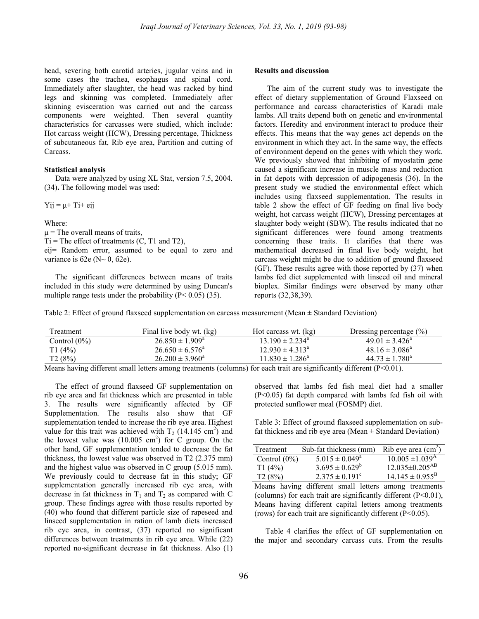head, severing both carotid arteries, jugular veins and in some cases the trachea, esophagus and spinal cord. Immediately after slaughter, the head was racked by hind legs and skinning was completed. Immediately after skinning evisceration was carried out and the carcass components were weighted. Then several quantity characteristics for carcasses were studied, which include: Hot carcass weight (HCW), Dressing percentage, Thickness of subcutaneous fat, Rib eye area, Partition and cutting of Carcass.

#### Statistical analysis

Data were analyzed by using XL Stat, version 7.5, 2004. (34). The following model was used:

 $Yij = \mu + Ti + eij$ 

Where:

 $\mu$  = The overall means of traits,

 $Ti = The effect of treatments (C, T1 and T2),$ 

eij= Random error, assumed to be equal to zero and variance is  $62e$  (N $\sim$  0, 62e).

The significant differences between means of traits included in this study were determined by using Duncan's multiple range tests under the probability  $(P < 0.05)$  (35).

#### Results and discussion

The aim of the current study was to investigate the effect of dietary supplementation of Ground Flaxseed on performance and carcass characteristics of Karadi male lambs. All traits depend both on genetic and environmental factors. Heredity and environment interact to produce their effects. This means that the way genes act depends on the environment in which they act. In the same way, the effects of environment depend on the genes with which they work. We previously showed that inhibiting of myostatin gene caused a significant increase in muscle mass and reduction in fat depots with depression of adipogenesis (36). In the present study we studied the environmental effect which includes using flaxseed supplementation. The results in table 2 show the effect of GF feeding on final live body weight, hot carcass weight (HCW), Dressing percentages at slaughter body weight (SBW). The results indicated that no significant differences were found among treatments concerning these traits. It clarifies that there was mathematical decreased in final live body weight, hot carcass weight might be due to addition of ground flaxseed (GF). These results agree with those reported by (37) when lambs fed diet supplemented with linseed oil and mineral bioplex. Similar findings were observed by many other reports (32,38,39).

Table 2: Effect of ground flaxseed supplementation on carcass measurement (Mean ± Standard Deviation)

| Treatment       | Final live body wt. (kg)   | Hot carcass wt. (kg)       | Dressing percentage $(\% )$ |
|-----------------|----------------------------|----------------------------|-----------------------------|
| Control $(0\%)$ | $26.850 \pm 1.909^{\rm a}$ | $13.190 \pm 2.234^{\circ}$ | $49.01 \pm 3.426^{\circ}$   |
| T1(4%)          | $26.650 \pm 6.576^{\circ}$ | $12.930 \pm 4.313^{\circ}$ | $48.16 \pm 3.086^{\circ}$   |
| T2(8%)          | $26.200 \pm 3.960^{\circ}$ | $11.830 \pm 1.286^{\circ}$ | $44.73 \pm 1.780^{\circ}$   |

Means having different small letters among treatments (columns) for each trait are significantly different (P˂0.01).

The effect of ground flaxseed GF supplementation on rib eye area and fat thickness which are presented in table 3. The results were significantly affected by GF Supplementation. The results also show that GF supplementation tended to increase the rib eye area. Highest value for this trait was achieved with  $T_2$  (14.145 cm<sup>2</sup>) and the lowest value was  $(10.005 \text{ cm}^2)$  for C group. On the other hand, GF supplementation tended to decrease the fat thickness, the lowest value was observed in T2 (2.375 mm) and the highest value was observed in C group (5.015 mm). We previously could to decrease fat in this study; GF supplementation generally increased rib eye area, with decrease in fat thickness in  $T_1$  and  $T_2$  as compared with C group. These findings agree with those results reported by (40) who found that different particle size of rapeseed and linseed supplementation in ration of lamb diets increased rib eye area, in contrast, (37) reported no significant differences between treatments in rib eye area. While (22) reported no-significant decrease in fat thickness. Also (1)

observed that lambs fed fish meal diet had a smaller (P<0.05) fat depth compared with lambs fed fish oil with protected sunflower meal (FOSMP) diet.

Table 3: Effect of ground flaxseed supplementation on subfat thickness and rib eye area (Mean  $\pm$  Standard Deviation)

| Treatment       | Sub-fat thickness (mm)    | Rib eye area $(cm2)$             |
|-----------------|---------------------------|----------------------------------|
| Control $(0\%)$ | $5.015 \pm 0.049^{\circ}$ | $10.005 \pm 1.039$ <sup>A</sup>  |
| T1(4%)          | $3.695 \pm 0.629^b$       | $12.035 \pm 0.205$ <sup>AB</sup> |
| T2(8%)          | $2.375 \pm 0.191^{\circ}$ | $14.145 \pm 0.955^{\mathrm{B}}$  |

Means having different small letters among treatments (columns) for each trait are significantly different (P˂0.01), Means having different capital letters among treatments (rows) for each trait are significantly different (P˂0.05).

Table 4 clarifies the effect of GF supplementation on the major and secondary carcass cuts. From the results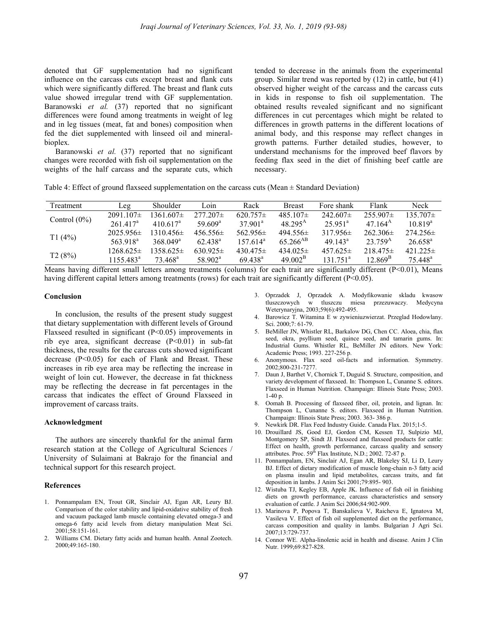denoted that GF supplementation had no significant influence on the carcass cuts except breast and flank cuts which were significantly differed. The breast and flank cuts value showed irregular trend with GF supplementation. Baranowski et al. (37) reported that no significant differences were found among treatments in weight of leg and in leg tissues (meat, fat and bones) composition when fed the diet supplemented with linseed oil and mineralbioplex.

Baranowski et al. (37) reported that no significant changes were recorded with fish oil supplementation on the weights of the half carcass and the separate cuts, which tended to decrease in the animals from the experimental group. Similar trend was reported by (12) in cattle, but (41) observed higher weight of the carcass and the carcass cuts in kids in response to fish oil supplementation. The obtained results revealed significant and no significant differences in cut percentages which might be related to differences in growth patterns in the different locations of animal body, and this response may reflect changes in growth patterns. Further detailed studies, however, to understand mechanisms for the improved beef flavors by feeding flax seed in the diet of finishing beef cattle are necessary.

Table 4: Effect of ground flaxseed supplementation on the carcass cuts (Mean  $\pm$  Standard Deviation)

| Treatment       | Leg                  | Shoulder            | Loin                | Rack                | <b>Breast</b>    | Fore shank            | Flank            | Neck                |
|-----------------|----------------------|---------------------|---------------------|---------------------|------------------|-----------------------|------------------|---------------------|
| Control $(0\%)$ | $2091.107\pm$        | 1361.607±           | $277.207\pm$        | $620.757\pm$        | $485.107\pm$     | $242.607\pm$          | $255.907\pm$     | $135.707\pm$        |
|                 | 261.417 <sup>a</sup> | $410.617^{\circ}$   | $59.609^{\circ}$    | $37.901^a$          | $48.295^{\rm A}$ | $25.951$ <sup>a</sup> | $47.164^{\rm A}$ | $10.819^a$          |
| T1(4%)          | $2025.956\pm$        | $1310.456\pm$       | $456.556\pm$        | $562.956\pm$        | $494.556\pm$     | $317.956\pm$          | $262.306\pm$     | $274.256\pm$        |
|                 | 563.918 <sup>a</sup> | $368.049^{\circ}$   | 62.438 <sup>a</sup> | $157.614^a$         | $65.266^{AB}$    | $49.143^{\circ}$      | $23.759^{\rm A}$ | $26.658^{\circ}$    |
| T2(8%)          | $1268.625\pm$        | $1358.625\pm$       | $630.925\pm$        | $430.475\pm$        | $434.025\pm$     | $457.625\pm$          | $218.475\pm$     | $421.225\pm$        |
|                 | $1155.483^a$         | 73 468 <sup>a</sup> | 58.902 <sup>a</sup> | 69 438 <sup>a</sup> | $49.002^{\rm B}$ | 131751 <sup>a</sup>   | $12.869^{\rm B}$ | 75.448 <sup>a</sup> |

Means having different small letters among treatments (columns) for each trait are significantly different (P<0.01), Means having different capital letters among treatments (rows) for each trait are significantly different (P<0.05).

#### Conclusion

In conclusion, the results of the present study suggest that dietary supplementation with different levels of Ground Flaxseed resulted in significant  $(P<0.05)$  improvements in rib eye area, significant decrease  $(P<0.01)$  in sub-fat thickness, the results for the carcass cuts showed significant decrease  $(P<0.05)$  for each of Flank and Breast. These increases in rib eye area may be reflecting the increase in weight of loin cut. However, the decrease in fat thickness may be reflecting the decrease in fat percentages in the carcass that indicates the effect of Ground Flaxseed in improvement of carcass traits.

#### Acknowledgment

The authors are sincerely thankful for the animal farm research station at the College of Agricultural Sciences / University of Sulaimani at Bakrajo for the financial and technical support for this research project.

#### References

- 1. Ponnampalam EN, Trout GR, Sinclair AJ, Egan AR, Leury BJ. Comparison of the color stability and lipid-oxidative stability of fresh and vacuum packaged lamb muscle containing elevated omega-3 and omega-6 fatty acid levels from dietary manipulation Meat Sci. 2001;58:151-161.
- 2. Williams CM. Dietary fatty acids and human health. Annal Zootech. 2000;49:165-180.
- 3. Oprzadek J, Oprzadek A. Modyfikowanie skladu kwasow tluszczowych w tluszczu miesa przezuwaczy. Medycyna Weterynaryjna, 2003;59(6):492-495.
- 4. Barowicz T. Witamina E w zywieniuzwierzat. Przeglad Hodowlany. Sci. 2000;7: 61-79.
- 5. BeMiller JN, Whistler RL, Barkalow DG, Chen CC. Aloea, chia, flax seed, okra, psyllium seed, quince seed, and tamarin gums. In: Industrial Gums. Whistler RL, BeMiller JN editors. New York: Academic Press; 1993. 227-256 p.
- 6. Anonymous. Flax seed oil-facts and information. Symmetry. 2002;800-231-7277.
- 7. Daun J, Barthet V, Chornick T, Duguid S. Structure, composition, and variety development of flaxseed. In: Thompson L, Cunanne S. editors. Flaxseed in Human Nutrition. Champaign: Illinois State Press; 2003. 1-40 p.
- 8. Oomah B. Processing of flaxseed fiber, oil, protein, and lignan. In: Thompson L, Cunanne S. editors. Flaxseed in Human Nutrition. Champaign: Illinois State Press; 2003. 363- 386 p.
- 9. Newkirk DR. Flax Feed Industry Guide. Canada Flax. 2015;1-5.
- 10. Drouillard JS, Good EJ, Gordon CM, Kessen TJ, Sulpizio MJ, Montgomery SP, Sindt JJ. Flaxseed and flaxseed products for cattle: Effect on health, growth performance, carcass quality and sensory attributes. Proc. 59<sup>th</sup> Flax Institute, N.D.; 2002. 72-87 p.
- 11. Ponnampalam, EN, Sinclair AJ, Egan AR, Blakeley SJ, Li D, Leury BJ. Effect of dietary modification of muscle long-chain n-3 fatty acid on plasma insulin and lipid metabolites, carcass traits, and fat deposition in lambs. J Anim Sci 2001;79:895- 903.
- 12. Wistuba TJ, Kegley EB, Apple JK. Influence of fish oil in finishing diets on growth performance, carcass characteristics and sensory evaluation of cattle. J Anim Sci 2006;84:902-909.
- 13. Marinova P, Popova T, Banskalieva V, Raicheva E, Ignatova M, Vasileva V. Effect of fish oil supplemented diet on the performance, carcass composition and quality in lambs. Bulgarian J Agri Sci. 2007;13:729-737.
- 14. Connor WE. Alpha-linolenic acid in health and disease. Anim J Clin Nutr. 1999;69:827-828.